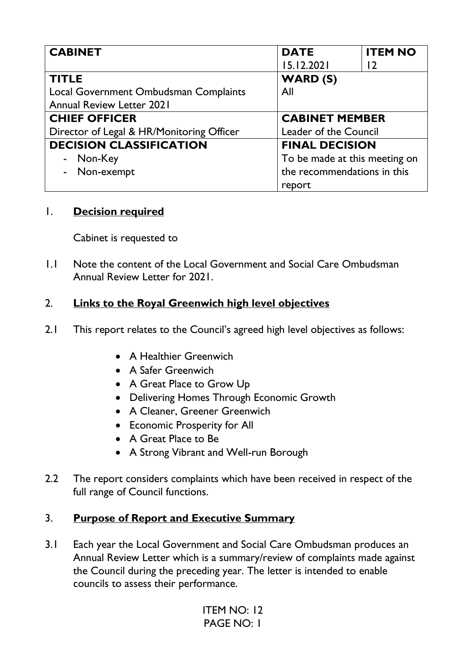| <b>CABINET</b>                            | <b>DATE</b>                 | <b>ITEM NO</b>                |  |
|-------------------------------------------|-----------------------------|-------------------------------|--|
|                                           | 15.12.2021                  | 12                            |  |
| <b>TITLE</b>                              | <b>WARD (S)</b>             |                               |  |
| Local Government Ombudsman Complaints     | All                         |                               |  |
| <b>Annual Review Letter 2021</b>          |                             |                               |  |
| <b>CHIEF OFFICER</b>                      |                             | <b>CABINET MEMBER</b>         |  |
| Director of Legal & HR/Monitoring Officer |                             | Leader of the Council         |  |
| <b>DECISION CLASSIFICATION</b>            |                             | <b>FINAL DECISION</b>         |  |
| Non-Key                                   |                             | To be made at this meeting on |  |
| Non-exempt                                | the recommendations in this |                               |  |
|                                           | report                      |                               |  |

## 1. **Decision required**

Cabinet is requested to

1.1 Note the content of the Local Government and Social Care Ombudsman Annual Review Letter for 2021.

## 2. **Links to the Royal Greenwich high level objectives**

- 2.1 This report relates to the Council's agreed high level objectives as follows:
	- A Healthier Greenwich
	- A Safer Greenwich
	- A Great Place to Grow Up
	- Delivering Homes Through Economic Growth
	- A Cleaner, Greener Greenwich
	- Economic Prosperity for All
	- A Great Place to Be
	- A Strong Vibrant and Well-run Borough
- 2.2 The report considers complaints which have been received in respect of the full range of Council functions.

## 3. **Purpose of Report and Executive Summary**

3.1 Each year the Local Government and Social Care Ombudsman produces an Annual Review Letter which is a summary/review of complaints made against the Council during the preceding year. The letter is intended to enable councils to assess their performance.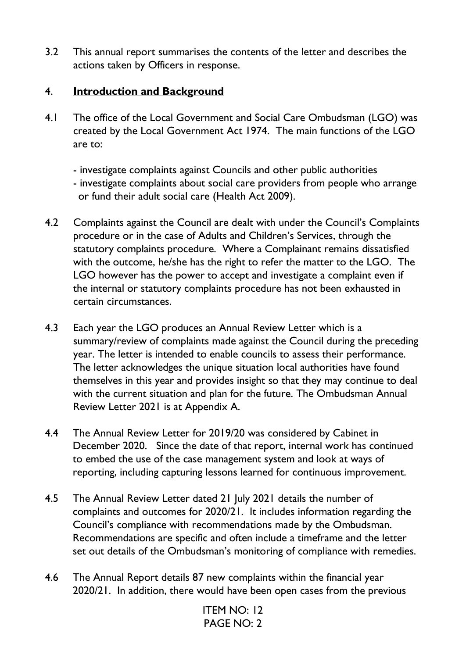3.2 This annual report summarises the contents of the letter and describes the actions taken by Officers in response.

## 4. **Introduction and Background**

- 4.1 The office of the Local Government and Social Care Ombudsman (LGO) was created by the Local Government Act 1974. The main functions of the LGO are to:
	- investigate complaints against Councils and other public authorities
	- investigate complaints about social care providers from people who arrange or fund their adult social care (Health Act 2009).
- 4.2 Complaints against the Council are dealt with under the Council's Complaints procedure or in the case of Adults and Children's Services, through the statutory complaints procedure. Where a Complainant remains dissatisfied with the outcome, he/she has the right to refer the matter to the LGO. The LGO however has the power to accept and investigate a complaint even if the internal or statutory complaints procedure has not been exhausted in certain circumstances.
- 4.3 Each year the LGO produces an Annual Review Letter which is a summary/review of complaints made against the Council during the preceding year. The letter is intended to enable councils to assess their performance. The letter acknowledges the unique situation local authorities have found themselves in this year and provides insight so that they may continue to deal with the current situation and plan for the future. The Ombudsman Annual Review Letter 2021 is at Appendix A.
- 4.4 The Annual Review Letter for 2019/20 was considered by Cabinet in December 2020. Since the date of that report, internal work has continued to embed the use of the case management system and look at ways of reporting, including capturing lessons learned for continuous improvement.
- 4.5 The Annual Review Letter dated 21 July 2021 details the number of complaints and outcomes for 2020/21. It includes information regarding the Council's compliance with recommendations made by the Ombudsman. Recommendations are specific and often include a timeframe and the letter set out details of the Ombudsman's monitoring of compliance with remedies.
- 4.6 The Annual Report details 87 new complaints within the financial year 2020/21. In addition, there would have been open cases from the previous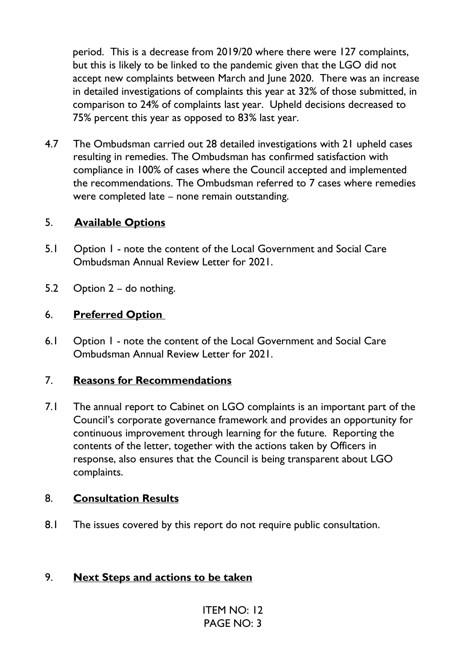period. This is a decrease from 2019/20 where there were 127 complaints, but this is likely to be linked to the pandemic given that the LGO did not accept new complaints between March and June 2020. There was an increase in detailed investigations of complaints this year at 32% of those submitted, in comparison to 24% of complaints last year. Upheld decisions decreased to 75% percent this year as opposed to 83% last year.

4.7 The Ombudsman carried out 28 detailed investigations with 21 upheld cases resulting in remedies. The Ombudsman has confirmed satisfaction with compliance in 100% of cases where the Council accepted and implemented the recommendations. The Ombudsman referred to 7 cases where remedies were completed late – none remain outstanding.

## 5. **Available Options**

- 5.1 Option 1 note the content of the Local Government and Social Care Ombudsman Annual Review Letter for 2021.
- 5.2 Option 2 do nothing.

#### 6. **Preferred Option**

6.1 Option 1 - note the content of the Local Government and Social Care Ombudsman Annual Review Letter for 2021.

#### 7. **Reasons for Recommendations**

7.1 The annual report to Cabinet on LGO complaints is an important part of the Council's corporate governance framework and provides an opportunity for continuous improvement through learning for the future. Reporting the contents of the letter, together with the actions taken by Officers in response, also ensures that the Council is being transparent about LGO complaints.

#### 8. **Consultation Results**

8.1 The issues covered by this report do not require public consultation.

#### 9. **Next Steps and actions to be taken**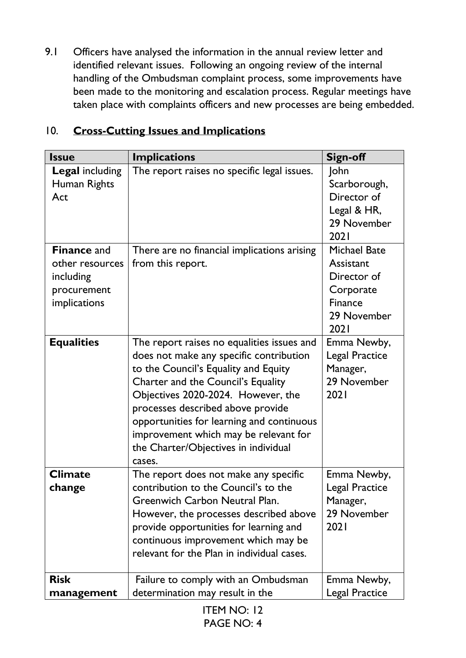9.1 Officers have analysed the information in the annual review letter and identified relevant issues. Following an ongoing review of the internal handling of the Ombudsman complaint process, some improvements have been made to the monitoring and escalation process. Regular meetings have taken place with complaints officers and new processes are being embedded.

| <b>Issue</b>                                                                      | <b>Implications</b>                                                                                                                                                                                                                                                                                                                                                                    | <b>Sign-off</b>                                                                                |
|-----------------------------------------------------------------------------------|----------------------------------------------------------------------------------------------------------------------------------------------------------------------------------------------------------------------------------------------------------------------------------------------------------------------------------------------------------------------------------------|------------------------------------------------------------------------------------------------|
| <b>Legal including</b><br>Human Rights<br>Act                                     | The report raises no specific legal issues.                                                                                                                                                                                                                                                                                                                                            | John<br>Scarborough,<br>Director of<br>Legal & HR,<br>29 November<br>2021                      |
| <b>Finance and</b><br>other resources<br>including<br>procurement<br>implications | There are no financial implications arising<br>from this report.                                                                                                                                                                                                                                                                                                                       | <b>Michael Bate</b><br>Assistant<br>Director of<br>Corporate<br>Finance<br>29 November<br>2021 |
| <b>Equalities</b>                                                                 | The report raises no equalities issues and<br>does not make any specific contribution<br>to the Council's Equality and Equity<br>Charter and the Council's Equality<br>Objectives 2020-2024. However, the<br>processes described above provide<br>opportunities for learning and continuous<br>improvement which may be relevant for<br>the Charter/Objectives in individual<br>cases. | Emma Newby,<br><b>Legal Practice</b><br>Manager,<br>29 November<br>2021                        |
| <b>Climate</b><br>change                                                          | The report does not make any specific<br>contribution to the Council's to the<br>Greenwich Carbon Neutral Plan.<br>However, the processes described above<br>provide opportunities for learning and<br>continuous improvement which may be<br>relevant for the Plan in individual cases.                                                                                               | Emma Newby,<br><b>Legal Practice</b><br>Manager,<br>29 November<br>2021                        |
| <b>Risk</b><br>management                                                         | Failure to comply with an Ombudsman<br>determination may result in the                                                                                                                                                                                                                                                                                                                 | Emma Newby,<br><b>Legal Practice</b>                                                           |

## 10. **Cross-Cutting Issues and Implications**